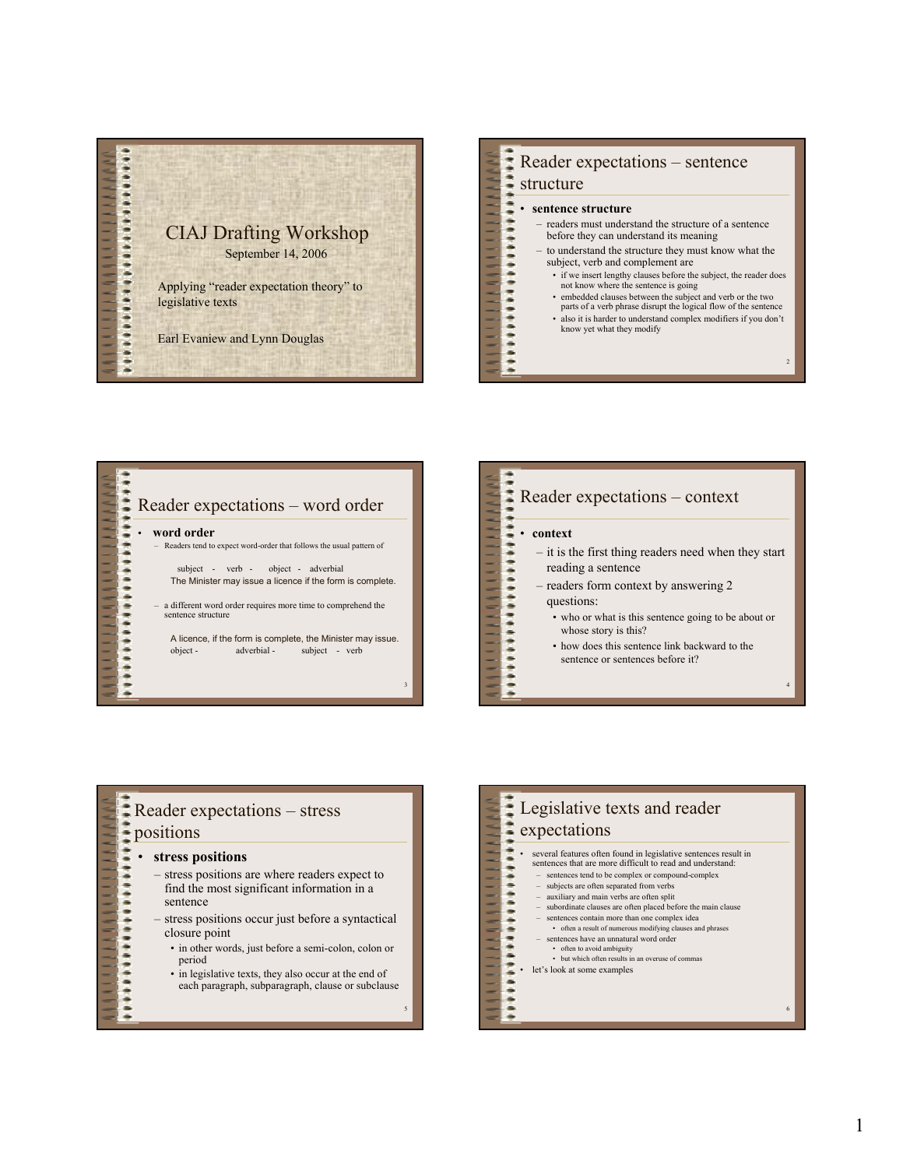

## Reader expectations – sentence \*\*\*\*\*\*\*\*\*

### structure

 $\frac{1}{2}$ 

 $\frac{1}{2}$ 

**\*\*\*\*\*\*\*\*\*\*\*** 

#### • **sentence structure**

- readers must understand the structure of a sentence before they can understand its meaning
- to understand the structure they must know what the subject, verb and complement are
	- if we insert lengthy clauses before the subject, the reader does not know where the sentence is going
	- embedded clauses between the subject and verb or the two parts of a verb phrase disrupt the logical flow of the sentence
	- also it is harder to understand complex modifiers if you don't know yet what they modify

2

Reader expectations – word order • **word order** – Readers tend to expect word-order that follows the usual pattern of subject - verb - object - adverbial .......... The Minister may issue a licence if the form is complete. – a different word order requires more time to comprehend the sentence structure A licence, if the form is complete, the Minister may issue. object - adverbial - subject - verb

 $\ddot{\bullet}$ 

3

#### Reader expectations – context • **context ++++++++++++** – it is the first thing readers need when they start reading a sentence – readers form context by answering 2 questions: • who or what is this sentence going to be about or whose story is this? • how does this sentence link backward to the ÷ sentence or sentences before it?  $\frac{1}{2}$ 4

#### Reader expectations – stress positions • **stress positions** – stress positions are where readers expect to find the most significant information in a sentence – stress positions occur just before a syntactical closure point • in other words, just before a semi-colon, colon or period • in legislative texts, they also occur at the end of  $\frac{1}{2}$ each paragraph, subparagraph, clause or subclause 5

#### Legislative texts and reader expectations  $\frac{1}{2}$ • several features often found in legislative sentences result in sentences that are more difficult to read and understand: t – sentences tend to be complex or compound-complex – subjects are often separated from verbs  $\ddot{ }$ – auxiliary and main verbs are often split – subordinate clauses are often placed before the main clause – sentences contain more than one complex idea  $\frac{1}{2}$ • often a result of numerous modifying clauses and phrases – sentences have an unnatural word order • often to avoid ambiguity • but which often results in an overuse of commas ż let's look at some examples  $\ddot{ }$ 6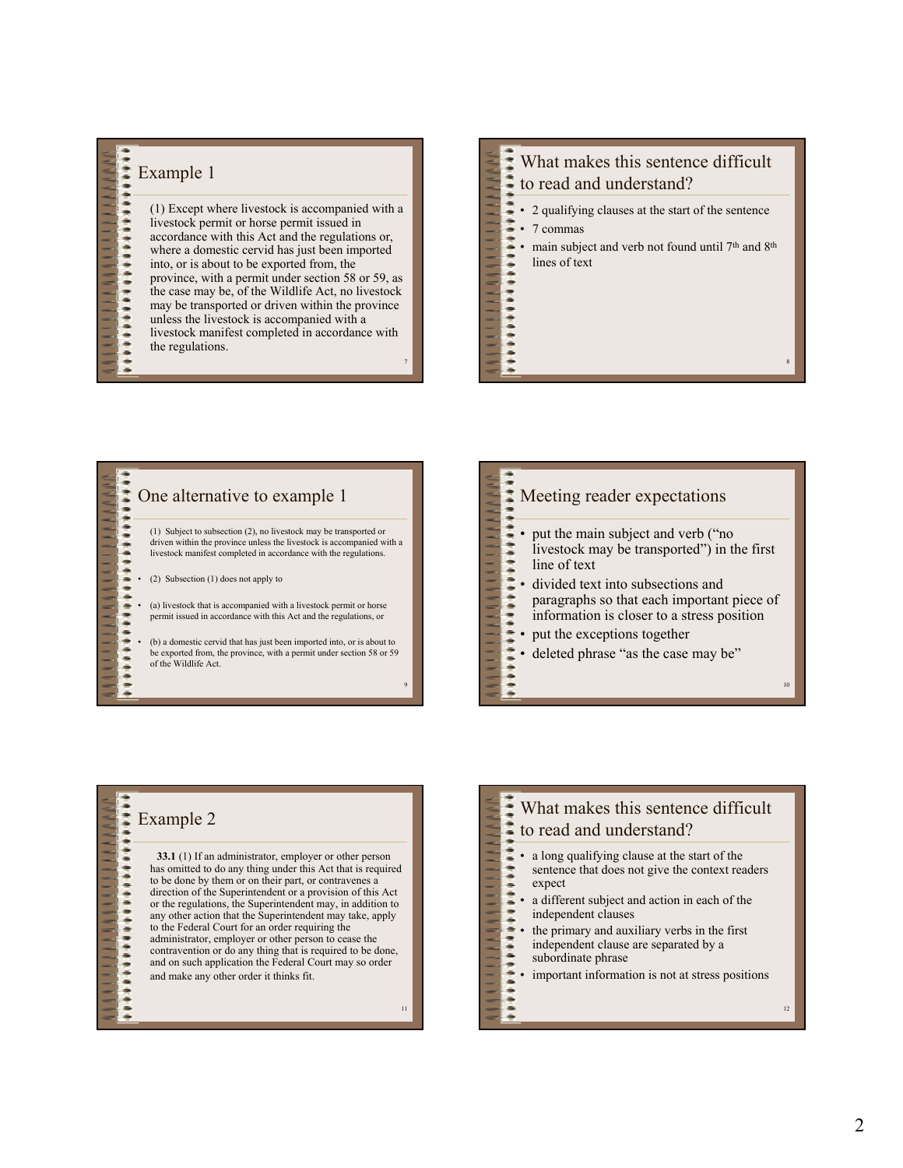# \*\*\*\*\*\*\*\*\*\*\*\*\*\*\*\*\*\*\*\*\* Example 1

 $\ddot{\phantom{a}}$ 

.  $\ddot{\bullet}$ 

7 (1) Except where livestock is accompanied with a livestock permit or horse permit issued in accordance with this Act and the regulations or, where a domestic cervid has just been imported into, or is about to be exported from, the province, with a permit under section 58 or 59, as the case may be, of the Wildlife Act, no livestock may be transported or driven within the province unless the livestock is accompanied with a livestock manifest completed in accordance with the regulations.

# **海南海海南省海南省南省海南省南省省南省省南省南省市** What makes this sentence difficult to read and understand?

- 2 qualifying clauses at the start of the sentence
- 7 commas
- main subject and verb not found until 7<sup>th</sup> and 8<sup>th</sup> lines of text

8

### \*\*\*\*\*\*\*\*\*\*\*\*\*\*\*\* One alternative to example 1 (1) Subject to subsection (2), no livestock may be transported or driven within the province unless the livestock is accompanied with a livestock manifest completed in accordance with the regulations. • (2) Subsection (1) does not apply to (a) livestock that is accompanied with a livestock permit or horse **PERSON** permit issued in accordance with this Act and the regulations, or

• (b) a domestic cervid that has just been imported into, or is about to be exported from, the province, with a permit under section 58 or 59 of the Wildlife Act.

9





|  | What makes this sentence difficult<br>to read and understand?                                                                                                                                                                                                                                                                                        |    |
|--|------------------------------------------------------------------------------------------------------------------------------------------------------------------------------------------------------------------------------------------------------------------------------------------------------------------------------------------------------|----|
|  | a long qualifying clause at the start of the<br>sentence that does not give the context readers<br>expect<br>a different subject and action in each of the<br>independent clauses<br>the primary and auxiliary verbs in the first<br>independent clause are separated by a<br>subordinate phrase<br>important information is not at stress positions |    |
|  |                                                                                                                                                                                                                                                                                                                                                      | 12 |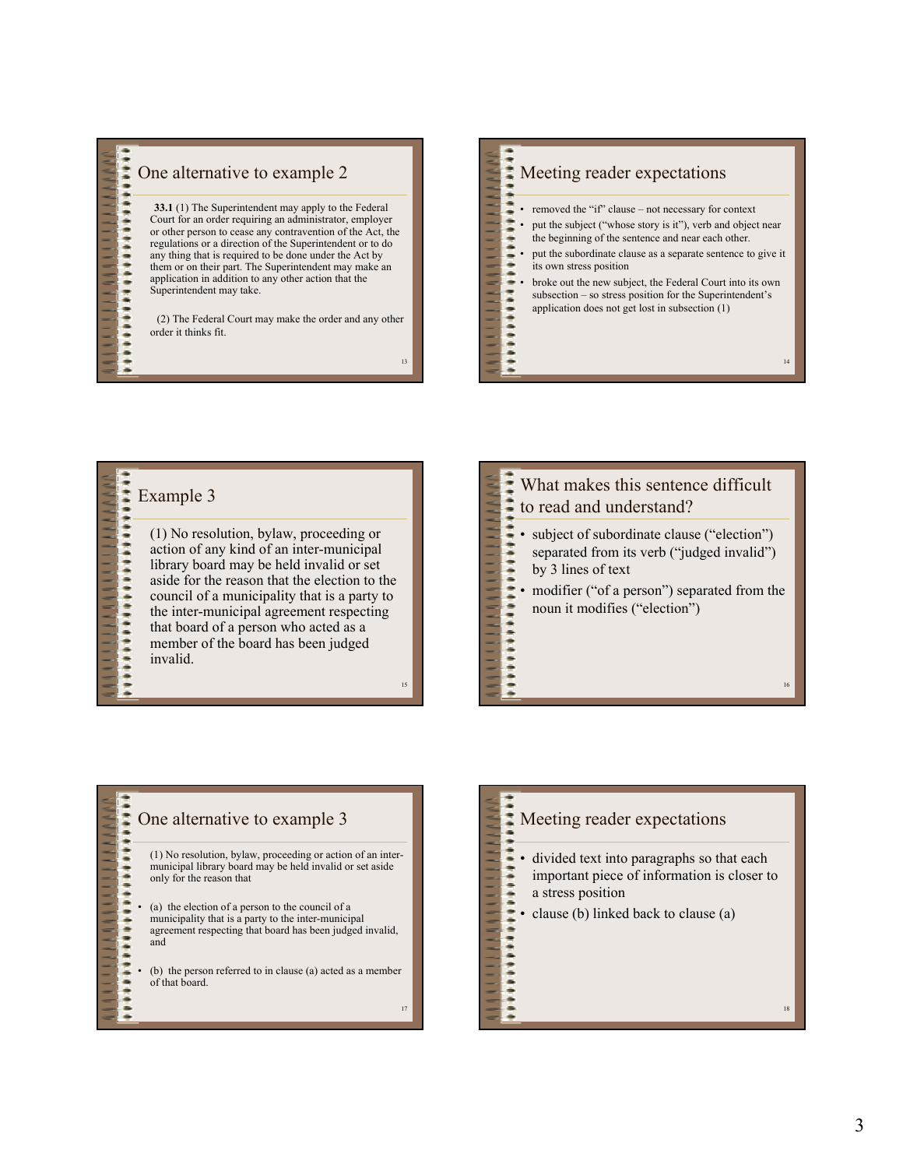

### One alternative to example 2

**33.1** (1) The Superintendent may apply to the Federal Court for an order requiring an administrator, employer or other person to cease any contravention of the Act, the regulations or a direction of the Superintendent or to do any thing that is required to be done under the Act by them or on their part. The Superintendent may make an application in addition to any other action that the Superintendent may take.

(2) The Federal Court may make the order and any other order it thinks fit.

13

 $111111$ 

 $\frac{1}{2}$ 

----------

15

# ,,,,,,,,,,, Meeting reader expectations

- removed the "if" clause not necessary for context
- put the subject ("whose story is it"), verb and object near the beginning of the sentence and near each other.
- put the subordinate clause as a separate sentence to give it its own stress position
- broke out the new subject, the Federal Court into its own subsection – so stress position for the Superintendent's application does not get lost in subsection (1)

14

# \*\*\*\*\*\*\*\*\*\*\*\*\*\*\*\*\*\*\*\*\*\*\*\*\*\*\* Example 3

(1) No resolution, bylaw, proceeding or action of any kind of an inter-municipal library board may be held invalid or set aside for the reason that the election to the council of a municipality that is a party to the inter-municipal agreement respecting that board of a person who acted as a member of the board has been judged invalid.

### \*\*\*\*\*\*\*\*\*\*\*\*\*\*\*\*\*\*\*\*\*\*\*\*\*\*\* What makes this sentence difficult to read and understand? • subject of subordinate clause ("election") separated from its verb ("judged invalid") by 3 lines of text modifier ("of a person") separated from the noun it modifies ("election") 16

### \*\*\*\*\*\*\*\*\*\*\*\*\*\*\*\*\*\*\*\*\* One alternative to example 3 (1) No resolution, bylaw, proceeding or action of an intermunicipal library board may be held invalid or set aside only for the reason that • (a) the election of a person to the council of a municipality that is a party to the inter-municipal agreement respecting that board has been judged invalid, and (b) the person referred to in clause (a) acted as a member of that board. ..... 17

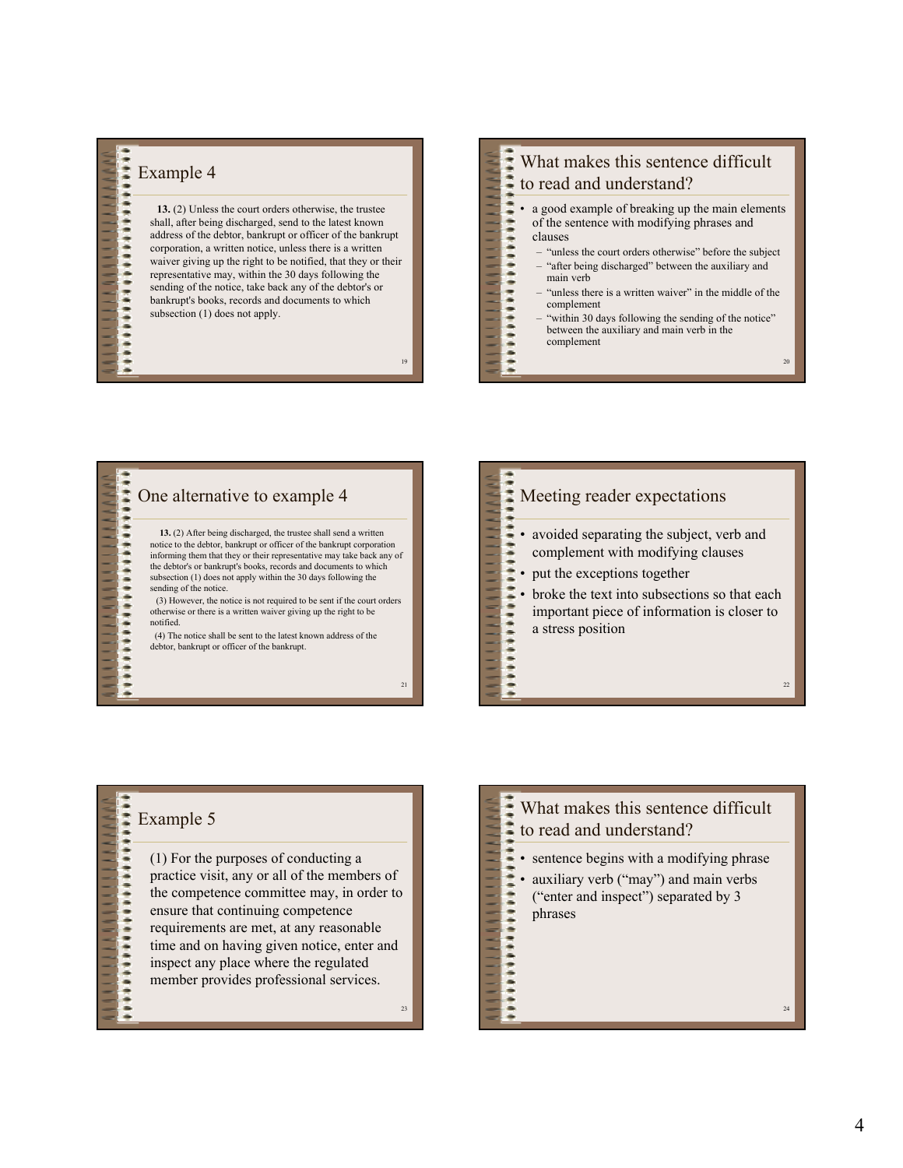# \*\*\*\*\*\*\*\*\*\*\*\*\*\*\*\*\*\*\*\*\*\*\*\* Example 4

 $\ddot{\phantom{a}}$ 

**13.** (2) Unless the court orders otherwise, the trustee shall, after being discharged, send to the latest known address of the debtor, bankrupt or officer of the bankrupt corporation, a written notice, unless there is a written waiver giving up the right to be notified, that they or their representative may, within the 30 days following the sending of the notice, take back any of the debtor's or bankrupt's books, records and documents to which subsection (1) does not apply.

19

 $\frac{1}{2}$ 

-------------

21

23

## \*\*\*\*\*\*\*\*\*\*\*\* What makes this sentence difficult to read and understand?

- a good example of breaking up the main elements of the sentence with modifying phrases and clauses
	- "unless the court orders otherwise" before the subject
		- "after being discharged" between the auxiliary and main verb
	- "unless there is a written waiver" in the middle of the complement
	- "within 30 days following the sending of the notice" between the auxiliary and main verb in the complement

20

22

#### \*\*\*\*\*\*\*\*\*\*\*\*\*\*\*\*\*\*\*\*\*\*\*\*\*\* One alternative to example 4 **13.** (2) After being discharged, the trustee shall send a written notice to the debtor, bankrupt or officer of the bankrupt corporation informing them that they or their representative may take back any of the debtor's or bankrupt's books, records and documents to which subsection (1) does not apply within the 30 days following the sending of the notice. (3) However, the notice is not required to be sent if the court orders otherwise or there is a written waiver giving up the right to be notified. (4) The notice shall be sent to the latest known address of the debtor, bankrupt or officer of the bankrupt.

### \*\*\*\*\*\*\*\*\*\*\*\*\*\*\*\*\*\*\*\*\*\*\*\* Meeting reader expectations • avoided separating the subject, verb and complement with modifying clauses • put the exceptions together • broke the text into subsections so that each important piece of information is closer to a stress position

# \*\*\*\*\*\*\*\*\*\*\*\*\*\*\*\*\*\*\*\*\* Example 5

.....

(1) For the purposes of conducting a practice visit, any or all of the members of the competence committee may, in order to ensure that continuing competence requirements are met, at any reasonable time and on having given notice, enter and inspect any place where the regulated member provides professional services.

What makes this sentened:<br>to read and understand? What makes this sentence difficult  $\frac{1}{2}$ • sentence begins with a modifying phrase \*\*\*\*\*\*\*\*\*\*\*\*\*\*\*\*\*\*\* auxiliary verb ("may") and main verbs ("enter and inspect") separated by 3 phrases 24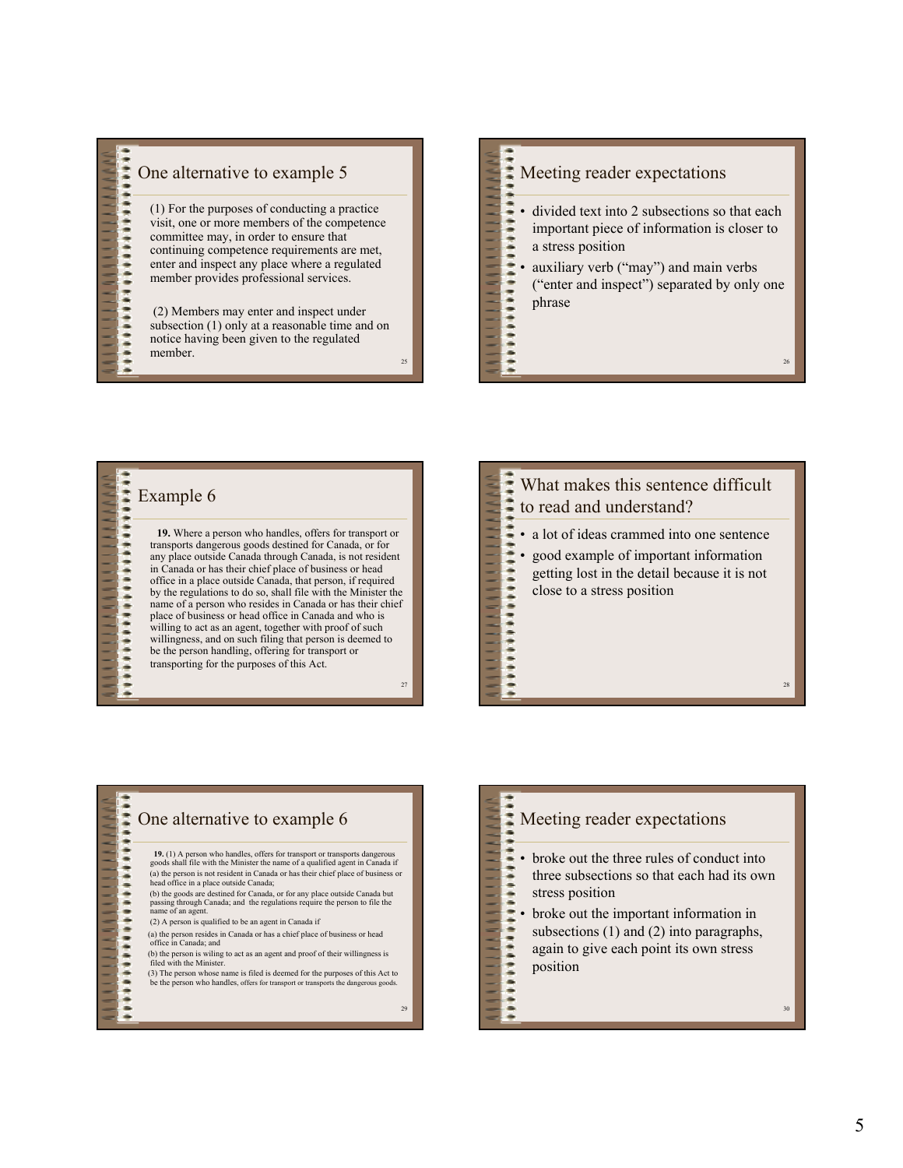

member.  $\frac{26}{25}$ 

# ,,,,,,,,,,, Meeting reader expectations

- divided text into 2 subsections so that each important piece of information is closer to a stress position
- auxiliary verb ("may") and main verbs ("enter and inspect") separated by only one phrase

# \*\*\*\*\*\*\*\*\*\*\*\*\*\*\*\*\*\*\*\*\* Example 6

 $-$ 

**19.** Where a person who handles, offers for transport or transports dangerous goods destined for Canada, or for any place outside Canada through Canada, is not resident in Canada or has their chief place of business or head office in a place outside Canada, that person, if required by the regulations to do so, shall file with the Minister the name of a person who resides in Canada or has their chief place of business or head office in Canada and who is willing to act as an agent, together with proof of such willingness, and on such filing that person is deemed to be the person handling, offering for transport or transporting for the purposes of this Act.

25

27

## What makes this sentence difficult \*\*\*\*\*\*\*\*\*\*\*\*\*\*\*\*\*\*\*\*\*\*\* to read and understand? • a lot of ideas crammed into one sentence • good example of important information getting lost in the detail because it is not close to a stress position 28